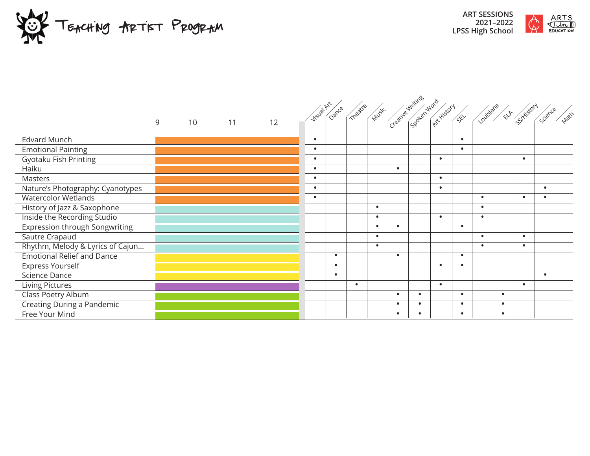



|                                       |   |    |    |    | visual Dance Theatre Music clearize Writings word sky of duty and Elf Shirtson |           |           |           |                        |           |           |           |           |           |       |
|---------------------------------------|---|----|----|----|--------------------------------------------------------------------------------|-----------|-----------|-----------|------------------------|-----------|-----------|-----------|-----------|-----------|-------|
|                                       |   |    |    |    |                                                                                |           |           |           |                        |           |           |           |           | Science   | Matth |
|                                       | 9 | 10 | 11 | 12 |                                                                                |           |           |           |                        |           |           |           |           |           |       |
| <b>Edvard Munch</b>                   |   |    |    |    | $\bullet$                                                                      |           |           |           |                        |           | $\bullet$ |           |           |           |       |
| <b>Emotional Painting</b>             |   |    |    |    | $\bullet$                                                                      |           |           |           |                        |           | $\bullet$ |           |           |           |       |
| Gyotaku Fish Printing                 |   |    |    |    | $\bullet$                                                                      |           |           |           |                        | $\bullet$ |           |           | $\bullet$ |           |       |
| Haiku                                 |   |    |    |    | $\bullet$                                                                      |           |           |           | $\bullet$              |           |           |           |           |           |       |
| Masters                               |   |    |    |    | $\bullet$                                                                      |           |           |           |                        | $\bullet$ |           |           |           |           |       |
| Nature's Photography: Cyanotypes      |   |    |    |    | $\bullet$                                                                      |           |           |           |                        | $\bullet$ |           |           |           | $\bullet$ |       |
| <b>Watercolor Wetlands</b>            |   |    |    |    | $\bullet$                                                                      |           |           |           |                        |           |           | $\bullet$ | $\bullet$ | $\bullet$ |       |
| History of Jazz & Saxophone           |   |    |    |    |                                                                                |           |           | $\bullet$ |                        |           |           | $\bullet$ |           |           |       |
| Inside the Recording Studio           |   |    |    |    |                                                                                |           |           | $\bullet$ |                        | $\bullet$ |           | $\bullet$ |           |           |       |
| <b>Expression through Songwriting</b> |   |    |    |    |                                                                                |           |           | $\bullet$ | $\bullet$              |           | $\bullet$ |           |           |           |       |
| Sautre Crapaud                        |   |    |    |    |                                                                                |           |           | $\bullet$ |                        |           |           | $\bullet$ | $\bullet$ |           |       |
| Rhythm, Melody & Lyrics of Cajun      |   |    |    |    |                                                                                |           |           | $\bullet$ |                        |           |           | $\bullet$ | $\bullet$ |           |       |
| <b>Emotional Relief and Dance</b>     |   |    |    |    |                                                                                | $\bullet$ |           |           | $\bullet$              |           | $\bullet$ |           |           |           |       |
| <b>Express Yourself</b>               |   |    |    |    |                                                                                | $\bullet$ |           |           |                        | $\bullet$ | $\bullet$ |           |           |           |       |
| Science Dance                         |   |    |    |    |                                                                                | $\bullet$ |           |           |                        |           |           |           |           | $\bullet$ |       |
| Living Pictures                       |   |    |    |    |                                                                                |           | $\bullet$ |           |                        | $\bullet$ |           |           | $\bullet$ |           |       |
| Class Poetry Album                    |   |    |    |    |                                                                                |           |           |           | $\bullet$<br>$\bullet$ |           | $\bullet$ | $\bullet$ |           |           |       |
| Creating During a Pandemic            |   |    |    |    |                                                                                |           |           |           | $\bullet$<br>$\bullet$ |           | $\bullet$ | $\bullet$ |           |           |       |
| Free Your Mind                        |   |    |    |    |                                                                                |           |           |           | ٠                      |           | $\bullet$ | $\bullet$ |           |           |       |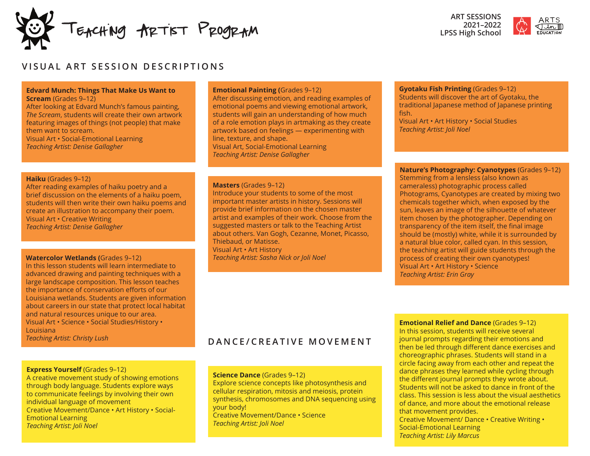TEACHING ARTIST PROGRAM



# **VISUAL ART SESSION DESCRIPTIONS**

### **Edvard Munch: Things That Make Us Want to Scream** (Grades 9–12)

After looking at Edvard Munch's famous painting, *The Scream*, students will create their own artwork featuring images of things (not people) that make them want to scream. Visual Art • Social-Emotional Learning *Teaching Artist: Denise Gallagher*

### **Haiku** (Grades 9–12)

After reading examples of haiku poetry and a brief discussion on the elements of a haiku poem, students will then write their own haiku poems and create an illustration to accompany their poem. Visual Art • Creative Writing *Teaching Artist: Denise Gallagher*

#### **Watercolor Wetlands (**Grades 9–12) *Teaching Artist: Sasha Nick or Joli Noel*

In this lesson students will learn intermediate to advanced drawing and painting techniques with a large landscape composition. This lesson teaches the importance of conservation efforts of our Louisiana wetlands. Students are given information about careers in our state that protect local habitat and natural resources unique to our area. Visual Art • Science • Social Studies/History • Louisiana *Teaching Artist: Christy Lush*

### **Emotional Painting (**Grades 9–12)

After discussing emotion, and reading examples of emotional poems and viewing emotional artwork, students will gain an understanding of how much of a role emotion plays in artmaking as they create artwork based on feelings — experimenting with line, texture, and shape. Visual Art, Social-Emotional Learning *Teaching Artist: Denise Gallagher*

### **Masters** (Grades 9–12)

Introduce your students to some of the most important master artists in history. Sessions will provide brief information on the chosen master artist and examples of their work. Choose from the suggested masters or talk to the Teaching Artist about others. Van Gogh, Cezanne, Monet, Picasso, Thiebaud, or Matisse. Visual Art • Art History

### **Gyotaku Fish Printing** (Grades 9–12)

Students will discover the art of Gyotaku, the traditional Japanese method of Japanese printing fish. Visual Art • Art History • Social Studies *Teaching Artist: Joli Noel*

**Nature's Photography: Cyanotypes** (Grades 9–12) Stemming from a lensless (also known as cameraless) photographic process called Photograms, Cyanotypes are created by mixing two chemicals together which, when exposed by the sun, leaves an image of the silhouette of whatever item chosen by the photographer. Depending on transparency of the item itself, the final image should be (mostly) white, while it is surrounded by a natural blue color, called cyan. In this session, the teaching artist will guide students through the process of creating their own cyanotypes! Visual Art • Art History • Science *Teaching Artist: Erin Gray*

# **DANCE/CREATIVE MOVEMENT**

### **Express Yourself** (Grades 9–12)

A creative movement study of showing emotions through body language. Students explore ways to communicate feelings by involving their own individual language of movement Creative Movement/Dance • Art History • Social-Emotional Learning *Teaching Artist: Joli Noel*

### **Science Dance** (Grades 9–12)

Explore science concepts like photosynthesis and cellular respiration, mitosis and meiosis, protein synthesis, chromosomes and DNA sequencing using your body!

Creative Movement/Dance • Science *Teaching Artist: Joli Noel*

**Emotional Relief and Dance** (Grades 9–12) In this session, students will receive several journal prompts regarding their emotions and then be led through different dance exercises and choreographic phrases. Students will stand in a circle facing away from each other and repeat the dance phrases they learned while cycling through the different journal prompts they wrote about. Students will not be asked to dance in front of the class. This session is less about the visual aesthetics of dance, and more about the emotional release that movement provides. Creative Movement/ Dance • Creative Writing • Social-Emotional Learning

*Teaching Artist: Lily Marcus*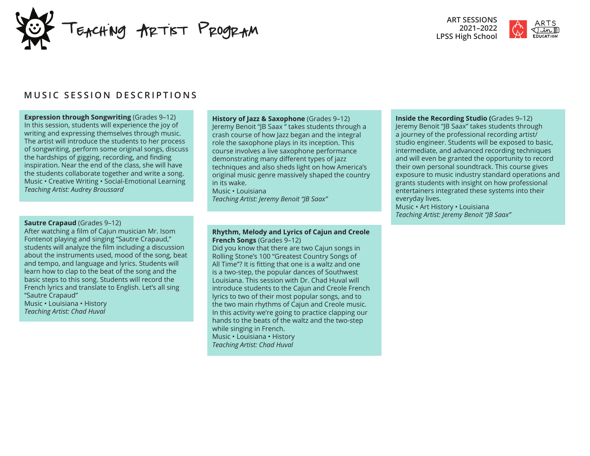



# **MUSIC SESSION DESCRIPTIONS**

**Expression through Songwriting** (Grades 9–12) In this session, students will experience the joy of writing and expressing themselves through music. The artist will introduce the students to her process of songwriting, perform some original songs, discuss the hardships of gigging, recording, and finding inspiration. Near the end of the class, she will have the students collaborate together and write a song. Music • Creative Writing • Social-Emotional Learning *Teaching Artist: Audrey Broussard*

#### **Sautre Crapaud** (Grades 9–12)

After watching a film of Cajun musician Mr. Isom Fontenot playing and singing "Sautre Crapaud," students will analyze the film including a discussion about the instruments used, mood of the song, beat and tempo, and language and lyrics. Students will learn how to clap to the beat of the song and the basic steps to this song. Students will record the French lyrics and translate to English. Let's all sing "Sautre Crapaud" Music • Louisiana • History *Teaching Artist: Chad Huval*

**History of Jazz & Saxophone** (Grades 9–12) Jeremy Benoit "JB Saax '' takes students through a crash course of how Jazz began and the integral role the saxophone plays in its inception. This course involves a live saxophone performance demonstrating many different types of jazz techniques and also sheds light on how America's original music genre massively shaped the country in its wake. Music • Louisiana

*Teaching Artist: Jeremy Benoit "JB Saax"*

### **Rhythm, Melody and Lyrics of Cajun and Creole French Songs** (Grades 9–12)

Did you know that there are two Cajun songs in Rolling Stone's 100 "Greatest Country Songs of All Time"? It is fitting that one is a waltz and one is a two-step, the popular dances of Southwest Louisiana. This session with Dr. Chad Huval will introduce students to the Cajun and Creole French lyrics to two of their most popular songs, and to the two main rhythms of Cajun and Creole music. In this activity we're going to practice clapping our hands to the beats of the waltz and the two-step while singing in French. Music • Louisiana • History *Teaching Artist: Chad Huval*

**Inside the Recording Studio (**Grades 9–12) Jeremy Benoit "JB Saax" takes students through a journey of the professional recording artist/ studio engineer. Students will be exposed to basic, intermediate, and advanced recording techniques and will even be granted the opportunity to record their own personal soundtrack. This course gives exposure to music industry standard operations and grants students with insight on how professional entertainers integrated these systems into their everyday lives.

Music • Art History • Louisiana *Teaching Artist: Jeremy Benoit "JB Saax"*